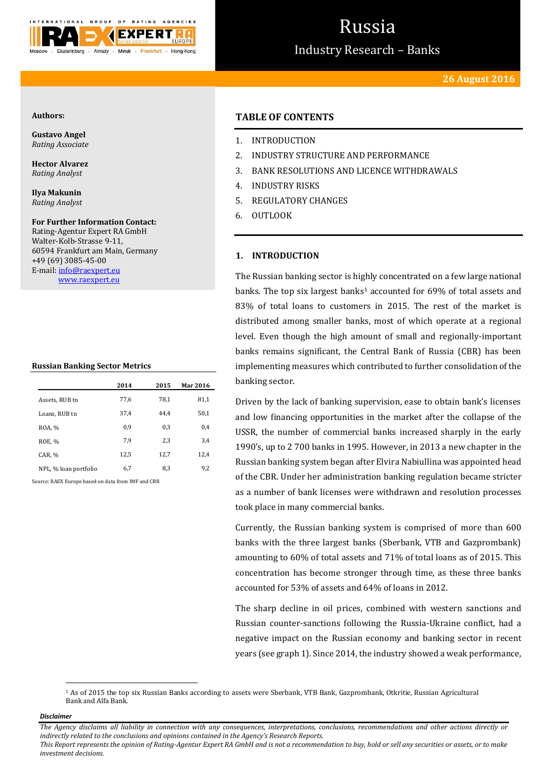

# Russia

Industry Research – Banks

## **Authors:**

**Gustavo Angel** *Rating Associate*

**Hector Alvarez** *Rating Analyst*

**Ilya Makunin** *Rating Analyst*

**For Further Information Contact:** Rating-Agentur Expert RA GmbH Walter-Kolb-Strasse 9-11, 60594 Frankfurt am Main, Germany +49 (69) 3085-45-00 E-mail[: info@raexpert.eu](mailto:info@raexpert.eu)

[www.raexpert.eu](http://raexpert.eu/)

## **Russian Banking Sector Metrics**

|                       | 2014 | 2015 | Mar 2016 |
|-----------------------|------|------|----------|
| Assets, RUB tn        | 77,6 | 78.1 | 81,1     |
| Loans, RUB tn         | 37,4 | 44.4 | 50,1     |
| ROA, %                | 0.9  | 0.3  | 0,4      |
| ROE, %                | 7,9  | 2,3  | 3,4      |
| CAR, %                | 12,5 | 12,7 | 12,4     |
| NPL, % loan portfolio | 6,7  | 8,3  | 9,2      |

Source: RAEX Europe based on data from IMF and CBR

# **TABLE OF CONTENTS**

- 1. INTRODUCTION
- 2. INDUSTRY STRUCTURE AND PERFORMANCE
- 3. BANK RESOLUTIONS AND LICENCE WITHDRAWALS
- 4. INDUSTRY RISKS
- 5. REGULATORY CHANGES
- 6. OUTLOOK

# **1. INTRODUCTION**

The Russian banking sector is highly concentrated on a few large national banks. The top six largest banks<sup>1</sup> accounted for 69% of total assets and 83% of total loans to customers in 2015. The rest of the market is distributed among smaller banks, most of which operate at a regional level. Even though the high amount of small and regionally-important banks remains significant, the Central Bank of Russia (CBR) has been implementing measures which contributed to further consolidation of the banking sector.

Driven by the lack of banking supervision, ease to obtain bank's licenses and low financing opportunities in the market after the collapse of the USSR, the number of commercial banks increased sharply in the early 1990's, up to 2 700 banks in 1995. However, in 2013 a new chapter in the Russian banking system began after Elvira Nabiullina was appointed head of the CBR. Under her administration banking regulation became stricter as a number of bank licenses were withdrawn and resolution processes took place in many commercial banks.

Currently, the Russian banking system is comprised of more than 600 banks with the three largest banks (Sberbank, VTB and Gazprombank) amounting to 60% of total assets and 71% of total loans as of 2015. This concentration has become stronger through time, as these three banks accounted for 53% of assets and 64% of loans in 2012.

The sharp decline in oil prices, combined with western sanctions and Russian counter-sanctions following the Russia-Ukraine conflict, had a negative impact on the Russian economy and banking sector in recent years (see graph 1). Since 2014, the industry showed a weak performance,

*Disclaimer* 

 $\overline{a}$ 

*The Agency disclaims all liability in connection with any consequences, interpretations, conclusions, recommendations and other actions directly or indirectly related to the conclusions and opinions contained in the Agency's Research Reports. This Report represents the opinion of Rating-Agentur Expert RA GmbH and is not a recommendation to buy, hold or sell any securities or assets, or to make investment decisions.*

<sup>1</sup> As of 2015 the top six Russian Banks according to assets were Sberbank, VTB Bank, Gazprombank, Otkritie, Russian Agricultural Bank and Alfa Bank.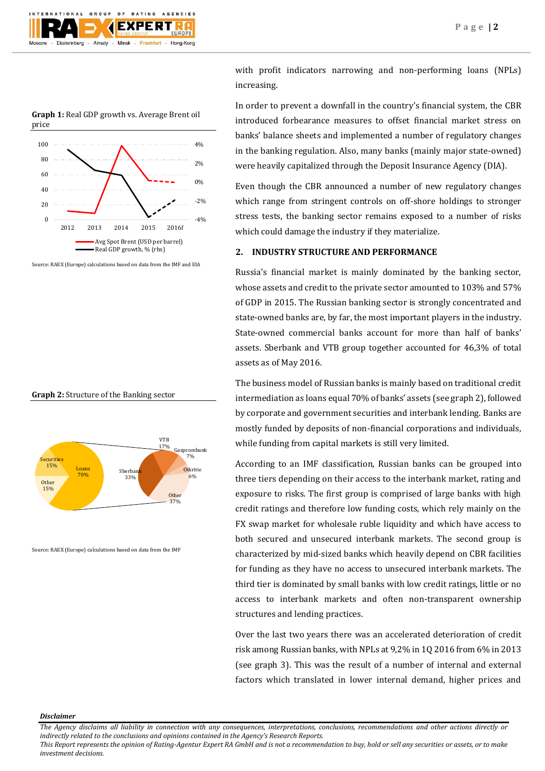

**Graph 1:** Real GDP growth vs. Average Brent oil price



Source: RAEX (Europe) calculations based on data from the IMF and EIA





Source: RAEX (Europe) calculations based on data from the IMF

with profit indicators narrowing and non-performing loans (NPLs) increasing.

In order to prevent a downfall in the country's financial system, the CBR introduced forbearance measures to offset financial market stress on banks' balance sheets and implemented a number of regulatory changes in the banking regulation. Also, many banks (mainly major state-owned) were heavily capitalized through the Deposit Insurance Agency (DIA).

Even though the CBR announced a number of new regulatory changes which range from stringent controls on off-shore holdings to stronger stress tests, the banking sector remains exposed to a number of risks which could damage the industry if they materialize.

## **2. INDUSTRY STRUCTURE AND PERFORMANCE**

Russia's financial market is mainly dominated by the banking sector, whose assets and credit to the private sector amounted to 103% and 57% of GDP in 2015. The Russian banking sector is strongly concentrated and state-owned banks are, by far, the most important players in the industry. State-owned commercial banks account for more than half of banks' assets. Sberbank and VTB group together accounted for 46,3% of total assets as of May 2016.

The business model of Russian banks is mainly based on traditional credit intermediation as loans equal 70% of banks' assets (see graph 2), followed by corporate and government securities and interbank lending. Banks are mostly funded by deposits of non-financial corporations and individuals, while funding from capital markets is still very limited.

According to an IMF classification, Russian banks can be grouped into three tiers depending on their access to the interbank market, rating and exposure to risks. The first group is comprised of large banks with high credit ratings and therefore low funding costs, which rely mainly on the FX swap market for wholesale ruble liquidity and which have access to both secured and unsecured interbank markets. The second group is characterized by mid-sized banks which heavily depend on CBR facilities for funding as they have no access to unsecured interbank markets. The third tier is dominated by small banks with low credit ratings, little or no access to interbank markets and often non-transparent ownership structures and lending practices.

Over the last two years there was an accelerated deterioration of credit risk among Russian banks, with NPLs at 9,2% in 1Q 2016 from 6% in 2013 (see graph 3). This was the result of a number of internal and external factors which translated in lower internal demand, higher prices and

#### *Disclaimer*

*The Agency disclaims all liability in connection with any consequences, interpretations, conclusions, recommendations and other actions directly or indirectly related to the conclusions and opinions contained in the Agency's Research Reports.*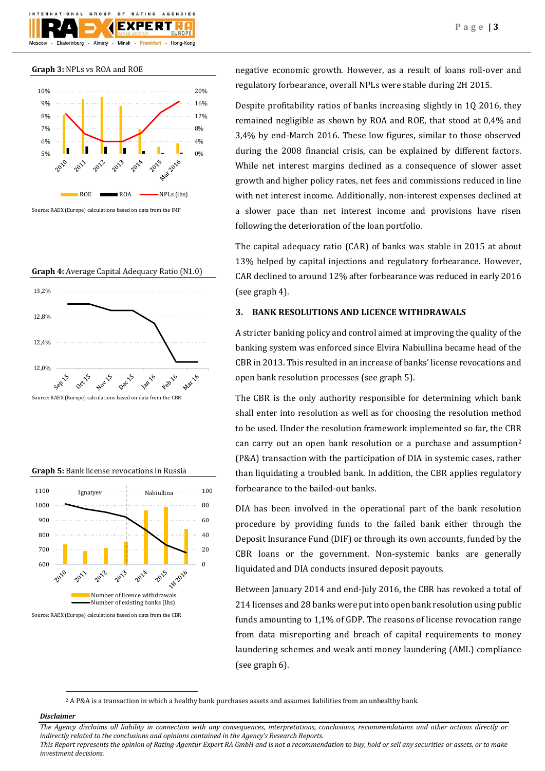

### **Graph 3:** NPLs vs ROA and ROE



**Graph 4:** Average Capital Adequacy Ratio (N1.0)







negative economic growth. However, as a result of loans roll-over and regulatory forbearance, overall NPLs were stable during 2H 2015.

Despite profitability ratios of banks increasing slightly in 1Q 2016, they remained negligible as shown by ROA and ROE, that stood at 0,4% and 3,4% by end-March 2016. These low figures, similar to those observed during the 2008 financial crisis, can be explained by different factors. While net interest margins declined as a consequence of slower asset growth and higher policy rates, net fees and commissions reduced in line with net interest income. Additionally, non-interest expenses declined at a slower pace than net interest income and provisions have risen following the deterioration of the loan portfolio.

The capital adequacy ratio (CAR) of banks was stable in 2015 at about 13% helped by capital injections and regulatory forbearance. However, CAR declined to around 12% after forbearance was reduced in early 2016 (see graph 4).

## **3. BANK RESOLUTIONS AND LICENCE WITHDRAWALS**

A stricter banking policy and control aimed at improving the quality of the banking system was enforced since Elvira Nabiullina became head of the CBR in 2013. This resulted in an increase of banks' license revocations and open bank resolution processes (see graph 5).

The CBR is the only authority responsible for determining which bank shall enter into resolution as well as for choosing the resolution method to be used. Under the resolution framework implemented so far, the CBR can carry out an open bank resolution or a purchase and assumption<sup>2</sup> (P&A) transaction with the participation of DIA in systemic cases, rather than liquidating a troubled bank. In addition, the CBR applies regulatory forbearance to the bailed-out banks.

DIA has been involved in the operational part of the bank resolution procedure by providing funds to the failed bank either through the Deposit Insurance Fund (DIF) or through its own accounts, funded by the CBR loans or the government. Non-systemic banks are generally liquidated and DIA conducts insured deposit payouts.

Between January 2014 and end-July 2016, the CBR has revoked a total of 214 licenses and 28 banks were put into open bank resolution using public funds amounting to 1,1% of GDP. The reasons of license revocation range from data misreporting and breach of capital requirements to money laundering schemes and weak anti money laundering (AML) compliance (see graph 6).

<sup>2</sup> A P&A is [a transaction](http://www.investopedia.com/terms/t/transaction.asp) in which a healthy bank purchase[s assets](http://www.investopedia.com/terms/a/asset.asp) and assume[s liabilities](http://www.investopedia.com/terms/l/liability.asp) from an unhealthy bank.

#### *Disclaimer*

1

*The Agency disclaims all liability in connection with any consequences, interpretations, conclusions, recommendations and other actions directly or indirectly related to the conclusions and opinions contained in the Agency's Research Reports.*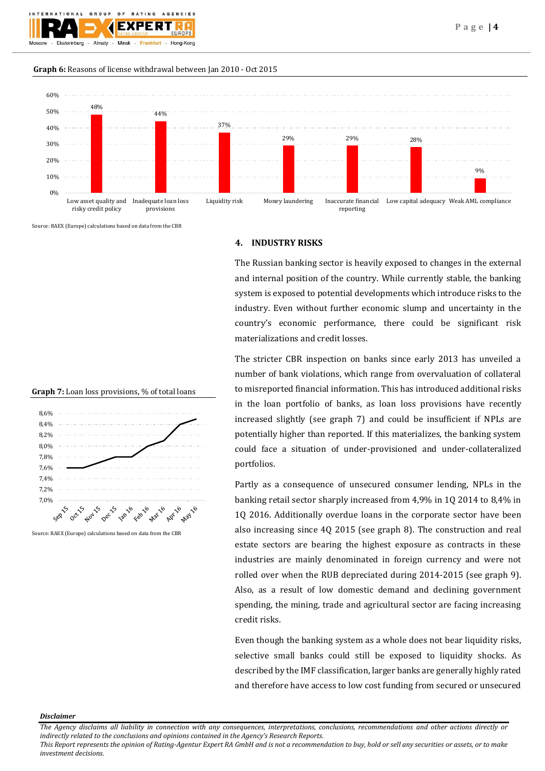

## **Graph 6:** Reasons of license withdrawal between Jan 2010 - Oct 2015



Source: RAEX (Europe) calculations based on data from the CBR





Source: RAEX (Europe) calculations based on data from the CBR

# **4. INDUSTRY RISKS**

The Russian banking sector is heavily exposed to changes in the external and internal position of the country. While currently stable, the banking system is exposed to potential developments which introduce risks to the industry. Even without further economic slump and uncertainty in the country's economic performance, there could be significant risk materializations and credit losses.

The stricter CBR inspection on banks since early 2013 has unveiled a number of bank violations, which range from overvaluation of collateral to misreported financial information. This has introduced additional risks in the loan portfolio of banks, as loan loss provisions have recently increased slightly (see graph 7) and could be insufficient if NPLs are potentially higher than reported. If this materializes, the banking system could face a situation of under-provisioned and under-collateralized portfolios.

Partly as a consequence of unsecured consumer lending, NPLs in the banking retail sector sharply increased from 4,9% in 1Q 2014 to 8,4% in 1Q 2016. Additionally overdue loans in the corporate sector have been also increasing since 4Q 2015 (see graph 8). The construction and real estate sectors are bearing the highest exposure as contracts in these industries are mainly denominated in foreign currency and were not rolled over when the RUB depreciated during 2014-2015 (see graph 9). Also, as a result of low domestic demand and declining government spending, the mining, trade and agricultural sector are facing increasing credit risks.

Even though the banking system as a whole does not bear liquidity risks, selective small banks could still be exposed to liquidity shocks. As described by the IMF classification, larger banks are generally highly rated and therefore have access to low cost funding from secured or unsecured

#### *Disclaimer*

*The Agency disclaims all liability in connection with any consequences, interpretations, conclusions, recommendations and other actions directly or indirectly related to the conclusions and opinions contained in the Agency's Research Reports.*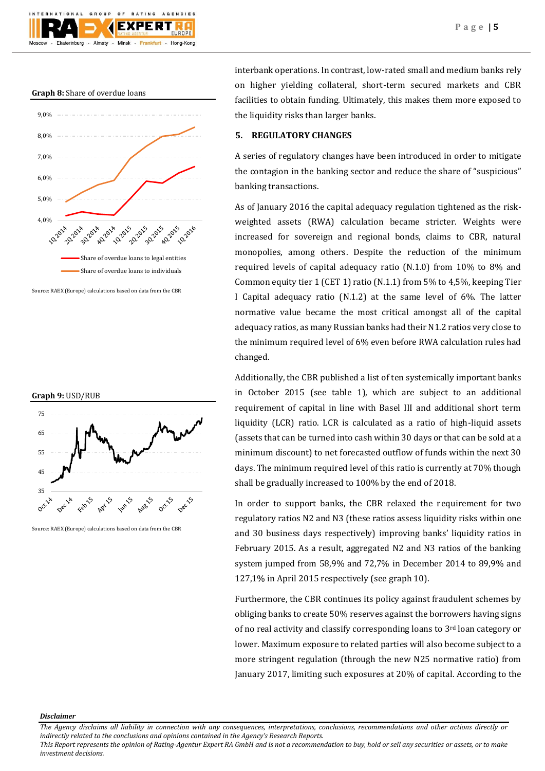



Source: RAEX (Europe) calculations based on data from the CBR



Source: RAEX (Europe) calculations based on data from the CBR

interbank operations. In contrast, low-rated small and medium banks rely on higher yielding collateral, short-term secured markets and CBR facilities to obtain funding. Ultimately, this makes them more exposed to the liquidity risks than larger banks.

## **5. REGULATORY CHANGES**

A series of regulatory changes have been introduced in order to mitigate the contagion in the banking sector and reduce the share of "suspicious" banking transactions.

As of January 2016 the capital adequacy regulation tightened as the riskweighted assets (RWA) calculation became stricter. Weights were increased for sovereign and regional bonds, claims to CBR, natural monopolies, among others. Despite the reduction of the minimum required levels of capital adequacy ratio (N.1.0) from 10% to 8% and Common equity tier 1 (CET 1) ratio (N.1.1) from 5% to 4,5%, keeping Tier I Capital adequacy ratio (N.1.2) at the same level of 6%. The latter normative value became the most critical amongst all of the capital adequacy ratios, as many Russian banks had their N1.2 ratios very close to the minimum required level of 6% even before RWA calculation rules had changed.

Additionally, the CBR published a list of ten systemically important banks in October 2015 (see table 1), which are subject to an additional requirement of capital in line with Basel III and additional short term liquidity (LCR) ratio. LCR is calculated as a ratio of high-liquid assets (assets that can be turned into cash within 30 days or that can be sold at a minimum discount) to net forecasted outflow of funds within the next 30 days. The minimum required level of this ratio is currently at 70% though shall be gradually increased to 100% by the end of 2018.

In order to support banks, the CBR relaxed the requirement for two regulatory ratios N2 and N3 (these ratios assess liquidity risks within one and 30 business days respectively) improving banks' liquidity ratios in February 2015. As a result, aggregated N2 and N3 ratios of the banking system jumped from 58,9% and 72,7% in December 2014 to 89,9% and 127,1% in April 2015 respectively (see graph 10).

Furthermore, the CBR continues its policy against fraudulent schemes by obliging banks to create 50% reserves against the borrowers having signs of no real activity and classify corresponding loans to 3rd loan category or lower. Maximum exposure to related parties will also become subject to a more stringent regulation (through the new N25 normative ratio) from January 2017, limiting such exposures at 20% of capital. According to the

#### *Disclaimer*

*The Agency disclaims all liability in connection with any consequences, interpretations, conclusions, recommendations and other actions directly or indirectly related to the conclusions and opinions contained in the Agency's Research Reports.*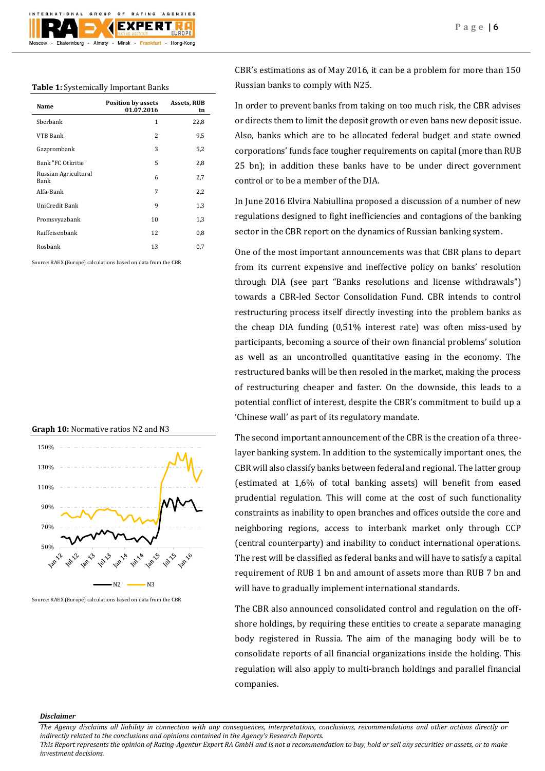## **Table 1:** Systemically Important Banks

| Name                         | <b>Position by assets</b><br>01.07.2016 | Assets, RUB<br>tn |
|------------------------------|-----------------------------------------|-------------------|
| Sherbank                     | 1                                       | 22,8              |
| VTB Bank                     | 2                                       | 9,5               |
| Gazprombank                  | 3                                       | 5,2               |
| Bank "FC Otkritie"           | 5                                       | 2,8               |
| Russian Agricultural<br>Bank | 6                                       | 2,7               |
| Alfa-Bank                    | 7                                       | 2,2               |
| UniCredit Bank               | 9                                       | 1,3               |
| Promsvyazbank                | 10                                      | 1,3               |
| Raiffeisenbank               | 12                                      | 0,8               |
| Rosbank                      | 13                                      | 0,7               |
|                              |                                         |                   |

Source: RAEX (Europe) calculations based on data from the CBR

### **Graph 10:** Normative ratios N2 and N3



Source: RAEX (Europe) calculations based on data from the CBR

CBR's estimations as of May 2016, it can be a problem for more than 150 Russian banks to comply with N25.

In order to prevent banks from taking on too much risk, the CBR advises or directs them to limit the deposit growth or even bans new deposit issue. Also, banks which are to be allocated federal budget and state owned corporations' funds face tougher requirements on capital (more than RUB 25 bn); in addition these banks have to be under direct government control or to be a member of the DIA.

In June 2016 Elvira Nabiullina proposed a discussion of a number of new regulations designed to fight inefficiencies and contagions of the banking sector in the CBR report on the dynamics of Russian banking system.

One of the most important announcements was that CBR plans to depart from its current expensive and ineffective policy on banks' resolution through DIA (see part "Banks resolutions and license withdrawals") towards a CBR-led Sector Consolidation Fund. CBR intends to control restructuring process itself directly investing into the problem banks as the cheap DIA funding (0,51% interest rate) was often miss-used by participants, becoming a source of their own financial problems' solution as well as an uncontrolled quantitative easing in the economy. The restructured banks will be then resoled in the market, making the process of restructuring cheaper and faster. On the downside, this leads to a potential conflict of interest, despite the CBR's commitment to build up a 'Chinese wall' as part of its regulatory mandate.

The second important announcement of the CBR is the creation of a threelayer banking system. In addition to the systemically important ones, the CBR will also classify banks between federal and regional. The latter group (estimated at 1,6% of total banking assets) will benefit from eased prudential regulation. This will come at the cost of such functionality constraints as inability to open branches and offices outside the core and neighboring regions, access to interbank market only through CCP (central counterparty) and inability to conduct international operations. The rest will be classified as federal banks and will have to satisfy a capital requirement of RUB 1 bn and amount of assets more than RUB 7 bn and will have to gradually implement international standards.

The CBR also announced consolidated control and regulation on the offshore holdings, by requiring these entities to create a separate managing body registered in Russia. The aim of the managing body will be to consolidate reports of all financial organizations inside the holding. This regulation will also apply to multi-branch holdings and parallel financial companies.

#### *Disclaimer*

*The Agency disclaims all liability in connection with any consequences, interpretations, conclusions, recommendations and other actions directly or indirectly related to the conclusions and opinions contained in the Agency's Research Reports.*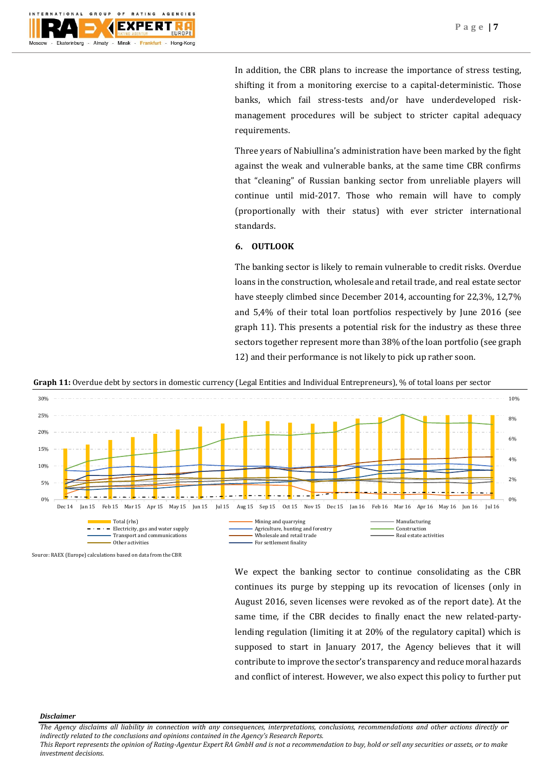

In addition, the CBR plans to increase the importance of stress testing, shifting it from a monitoring exercise to a capital-deterministic. Those banks, which fail stress-tests and/or have underdeveloped riskmanagement procedures will be subject to stricter capital adequacy requirements.

Three years of Nabiullina's administration have been marked by the fight against the weak and vulnerable banks, at the same time CBR confirms that "cleaning" of Russian banking sector from unreliable players will continue until mid-2017. Those who remain will have to comply (proportionally with their status) with ever stricter international standards.

# **6. OUTLOOK**

The banking sector is likely to remain vulnerable to credit risks. Overdue loans in the construction, wholesale and retail trade, and real estate sector have steeply climbed since December 2014, accounting for 22,3%, 12,7% and 5,4% of their total loan portfolios respectively by June 2016 (see graph 11). This presents a potential risk for the industry as these three sectors together represent more than 38% of the loan portfolio (see graph 12) and their performance is not likely to pick up rather soon.

**Graph 11:** Overdue debt by sectors in domestic currency (Legal Entities and Individual Entrepreneurs), % of total loans per sector



Source: RAEX (Europe) calculations based on data from the CBR

We expect the banking sector to continue consolidating as the CBR continues its purge by stepping up its revocation of licenses (only in August 2016, seven licenses were revoked as of the report date). At the same time, if the CBR decides to finally enact the new related-partylending regulation (limiting it at 20% of the regulatory capital) which is supposed to start in January 2017, the Agency believes that it will contribute to improve the sector's transparency and reduce moral hazards and conflict of interest. However, we also expect this policy to further put

#### *Disclaimer*

*The Agency disclaims all liability in connection with any consequences, interpretations, conclusions, recommendations and other actions directly or indirectly related to the conclusions and opinions contained in the Agency's Research Reports.*